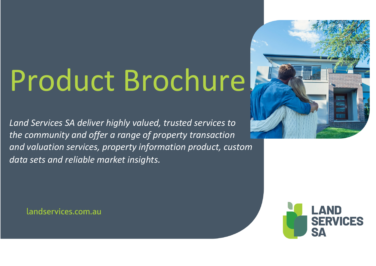## Product Brochure

*Land Services SA deliver highly valued, trusted services to the community and offer a range of property transaction and valuation services, property information product, custom data sets and reliable market insights.*



landservices.com.au

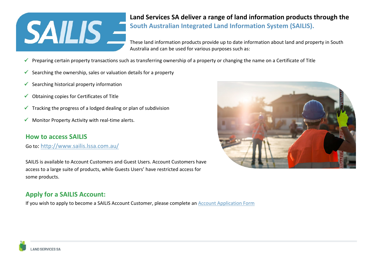# **SAILIS -**

#### **Land Services SA deliver a range of land information products through the [South Australian Integrated Land Information System \(SAILIS\).](http://www.sailis.sa.gov.au/)**

These land information products provide up to date information about land and property in South Australia and can be used for various purposes such as:

- Preparing certain property transactions such as transferring ownership of a property or changing the name on a Certificate of Title
- Searching the ownership, sales or valuation details for a property
- $\checkmark$  Searching historical property information
- $\checkmark$  Obtaining copies for Certificates of Title
- $\checkmark$  Tracking the progress of a lodged dealing or plan of subdivision
- $\checkmark$  Monitor Property Activity with real-time alerts.

#### **How to access SAILIS**

Go to:<http://www.sailis.lssa.com.au/>

SAILIS is available to Account Customers and Guest Users. Account Customers have access to a large suite of products, while Guests Users' have restricted access for some products.

#### **Apply for a SAILIS Account:**

If you wish to apply to become a SAILIS Account Customer, please complete a[n Account Application Form](https://www.landservices.com.au/__data/assets/pdf_file/0013/6016/Land-Services-SA-SAILIS-Credit-and-Account-Application-Form.pdf)

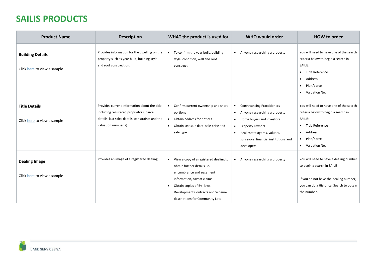### **SAILIS PRODUCTS**

| <b>Product Name</b>                                    | <b>Description</b>                                                                                                                                                   | WHAT the product is used for                                                                                                                                                                                                                     | <b>WHO would order</b>                                                                                                                                                                                                                                               | <b>HOW to order</b>                                                                                                                                                                              |
|--------------------------------------------------------|----------------------------------------------------------------------------------------------------------------------------------------------------------------------|--------------------------------------------------------------------------------------------------------------------------------------------------------------------------------------------------------------------------------------------------|----------------------------------------------------------------------------------------------------------------------------------------------------------------------------------------------------------------------------------------------------------------------|--------------------------------------------------------------------------------------------------------------------------------------------------------------------------------------------------|
| <b>Building Details</b><br>Click here to view a sample | Provides information for the dwelling on the<br>property such as year built, building style<br>and roof construction.                                                | To confirm the year built, building<br>$\bullet$<br>style, condition, wall and roof<br>construct                                                                                                                                                 | Anyone researching a property<br>$\bullet$                                                                                                                                                                                                                           | You will need to have one of the search<br>criteria below to begin a search in<br>SAILIS:<br>Title Reference<br>$\bullet$<br>Address<br>$\bullet$<br>Plan/parcel<br>$\bullet$<br>• Valuation No. |
| <b>Title Details</b><br>Click here to view a sample    | Provides current information about the title<br>including registered proprietors, parcel<br>details, last sales details, constraints and the<br>valuation number(s). | Confirm current ownership and share<br>$\bullet$<br>portions<br>Obtain address for notices<br>$\bullet$<br>Obtain last sale date, sale price and<br>$\bullet$<br>sale type                                                                       | <b>Conveyancing Practitioners</b><br>Anyone researching a property<br>$\bullet$<br>Home buyers and investors<br>$\bullet$<br><b>Property Owners</b><br>$\bullet$<br>Real estate agents, valuers,<br>$\bullet$<br>surveyors, financial institutions and<br>developers | You will need to have one of the search<br>criteria below to begin a search in<br>SAILIS:<br>Title Reference<br>$\bullet$<br>Address<br>$\bullet$<br>• Plan/parcel<br>• Valuation No.            |
| <b>Dealing Image</b><br>Click here to view a sample    | Provides an image of a registered dealing.                                                                                                                           | View a copy of a registered dealing to<br>$\bullet$<br>obtain further details i.e.<br>encumbrance and easement<br>information, caveat claims<br>Obtain copies of By-laws,<br>Development Contracts and Scheme<br>descriptions for Community Lots | Anyone researching a property                                                                                                                                                                                                                                        | You will need to have a dealing number<br>to begin a search in SAILIS<br>If you do not have the dealing number,<br>you can do a Historical Search to obtain<br>the number.                       |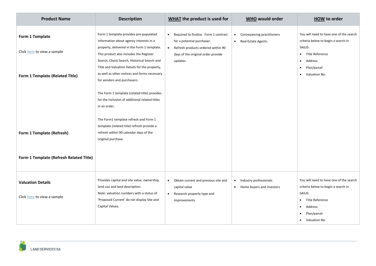| <b>Product Name</b>                                                               | <b>Description</b>                                                                                                                                                                                                                                                                                                                                                                                                                                           | <b>WHAT</b> the product is used for                                                                                                                                                 | <b>WHO would order</b>                                                        | <b>HOW to order</b>                                                                                                                                                                              |
|-----------------------------------------------------------------------------------|--------------------------------------------------------------------------------------------------------------------------------------------------------------------------------------------------------------------------------------------------------------------------------------------------------------------------------------------------------------------------------------------------------------------------------------------------------------|-------------------------------------------------------------------------------------------------------------------------------------------------------------------------------------|-------------------------------------------------------------------------------|--------------------------------------------------------------------------------------------------------------------------------------------------------------------------------------------------|
| Form 1 Template<br>Click here to view a sample<br>Form 1 Template (Related Title) | Form 1 template provides pre-populated<br>information about agency interests in a<br>property, delivered in the Form 1 template.<br>This product also includes the Register<br>Search, Check Search, Historical Search and<br>Title and Valuation Details for the property,<br>as well as other notices and forms necessary<br>for vendors and purchasers.<br>The Form 1 template (related title) provides<br>for the inclusion of additional related titles | Required to finalise Form 1 contract<br>$\bullet$<br>for a potential purchaser.<br>Refresh products ordered within 90<br>$\bullet$<br>days of the original order provide<br>updates | Conveyancing practitioners<br>$\bullet$<br>Real Estate Agents<br>$\bullet$    | You will need to have one of the search<br>criteria below to begin a search in<br>SAILIS:<br>• Title Reference<br>Address<br>$\bullet$<br>Plan/parcel<br>$\bullet$<br>Valuation No.<br>$\bullet$ |
| Form 1 Template (Refresh)<br>Form 1 Template (Refresh Related Title)              | in an order.<br>The Form1 template refresh and Form 1<br>template (related title) refresh provide a<br>refresh within 90 calendar days of the<br>original purchase.                                                                                                                                                                                                                                                                                          |                                                                                                                                                                                     |                                                                               |                                                                                                                                                                                                  |
| <b>Valuation Details</b><br>Click here to view a sample                           | Provides capital and site value, ownership,<br>land use and land description.<br>Note: valuation numbers with a status of<br>'Proposed Current' do not display Site and<br>Capital Values.                                                                                                                                                                                                                                                                   | Obtain current and previous site and<br>$\bullet$<br>capital value<br>Research property type and<br>$\bullet$<br>improvements                                                       | Industry professionals<br>$\bullet$<br>Home buyers and investors<br>$\bullet$ | You will need to have one of the search<br>criteria below to begin a search in<br>SAILIS:<br>Title Reference<br>$\bullet$<br>Address<br>$\bullet$<br>Plan/parcel<br>• Valuation No.              |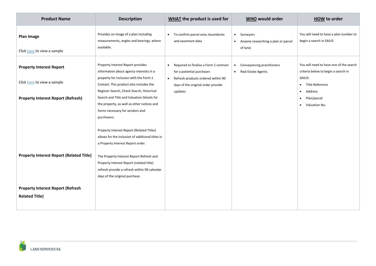| <b>Product Name</b>                                               | <b>Description</b>                                                                                                                                                       | <b>WHAT</b> the product is used for                                                                                                                                        | WHO would order                                                                        | <b>HOW to order</b>                                                                                            |
|-------------------------------------------------------------------|--------------------------------------------------------------------------------------------------------------------------------------------------------------------------|----------------------------------------------------------------------------------------------------------------------------------------------------------------------------|----------------------------------------------------------------------------------------|----------------------------------------------------------------------------------------------------------------|
| Plan Image<br>Click here to view a sample                         | Provides an image of a plan including<br>measurements, angles and bearings, where<br>available.                                                                          | • To confirm parcel area, boundaries<br>and easement data                                                                                                                  | Surveyors<br>$\bullet$<br>Anyone researching a plan or parcel<br>$\bullet$<br>of land. | You will need to have a plan number to<br>begin a search in SAILIS                                             |
| <b>Property Interest Report</b><br>Click here to view a sample    | Property Interest Report provides<br>information about agency interests in a<br>property for inclusion with the Form 1<br>Contact. This product also includes the        | Required to finalise a Form 1 contract<br>$\bullet$<br>for a potential purchaser.<br>Refresh products ordered within 90<br>$\bullet$<br>days of the original order provide | Conveyancing practitioners<br>$\bullet$<br>Real Estate Agents<br>$\bullet$             | You will need to have one of the search<br>criteria below to begin a search in<br>SAILIS:<br>• Title Reference |
| <b>Property Interest Report (Refresh)</b>                         | Register Search, Check Search, Historical<br>Search and Title and Valuation Details for<br>the property, as well as other notices and<br>forms necessary for vendors and | updates                                                                                                                                                                    |                                                                                        | Address<br>$\bullet$<br>Plan/parcel<br>$\bullet$<br>• Valuation No.                                            |
|                                                                   | purchasers.<br>Property Interest Report (Related Titles)<br>allows for the inclusion of additional titles in<br>a Property Interest Report order.                        |                                                                                                                                                                            |                                                                                        |                                                                                                                |
| <b>Property Interest Report (Related Title)</b>                   | The Property Interest Report Refresh and<br>Property Interest Report (related title)<br>refresh provide a refresh within 90 calendar<br>days of the original purchase.   |                                                                                                                                                                            |                                                                                        |                                                                                                                |
| <b>Property Interest Report (Refresh</b><br><b>Related Title)</b> |                                                                                                                                                                          |                                                                                                                                                                            |                                                                                        |                                                                                                                |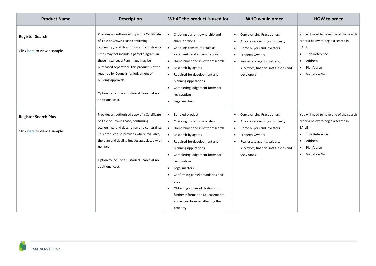| <b>Product Name</b>                                        | <b>Description</b>                                                                                                                                                                                                                                                                                                                                                                                         | WHAT the product is used for                                                                                                                                                                                                                                                                                                                                                                                                                                                           | <b>WHO would order</b>                                                                                                                                                                                                                                                            | <b>HOW to order</b>                                                                                                                                           |
|------------------------------------------------------------|------------------------------------------------------------------------------------------------------------------------------------------------------------------------------------------------------------------------------------------------------------------------------------------------------------------------------------------------------------------------------------------------------------|----------------------------------------------------------------------------------------------------------------------------------------------------------------------------------------------------------------------------------------------------------------------------------------------------------------------------------------------------------------------------------------------------------------------------------------------------------------------------------------|-----------------------------------------------------------------------------------------------------------------------------------------------------------------------------------------------------------------------------------------------------------------------------------|---------------------------------------------------------------------------------------------------------------------------------------------------------------|
| <b>Register Search</b><br>Click here to view a sample      | Provides an authorised copy of a Certificate<br>of Title or Crown Lease confirming<br>ownership, land description and constraints.<br>Titles may not include a parcel diagram, in<br>these instances a Plan Image may be<br>purchased separately. This product is often<br>required by Councils for lodgement of<br>building approvals.<br>Option to include a Historical Search at no<br>additional cost. | Checking current ownership and<br>$\bullet$<br>share portions<br>Checking constraints such as<br>$\bullet$<br>easements and encumbrances<br>Home buyer and investor research<br>$\bullet$<br>Research by agents<br>$\bullet$<br>Required for development and<br>$\bullet$<br>planning applications<br>Completing lodgement forms for<br>registration<br>Legal matters<br>$\bullet$                                                                                                     | <b>Conveyancing Practitioners</b><br>$\bullet$<br>Anyone researching a property<br>$\bullet$<br>Home buyers and investors<br>$\bullet$<br><b>Property Owners</b><br>$\bullet$<br>Real estate agents, valuers,<br>$\bullet$<br>surveyors, financial institutions and<br>developers | You will need to have one of the search<br>criteria below to begin a search in<br>SAILIS:<br>• Title Reference<br>Address<br>• Plan/parcel<br>• Valuation No. |
| <b>Register Search Plus</b><br>Click here to view a sample | Provides an authorised copy of a Certificate<br>of Title or Crown Lease, confirming<br>ownership, land description and constraints.<br>This product also provides where available,<br>the plan and dealing images associated with<br>the Title.<br>Option to include a Historical Search at no<br>additional cost.                                                                                         | <b>Bundled product</b><br>$\bullet$<br>Checking current ownership<br>Home buyer and investor research<br>$\bullet$<br>Research by agents<br>Required for development and<br>$\bullet$<br>planning applications<br>Completing lodgement forms for<br>$\bullet$<br>registration<br>Legal matters<br>$\bullet$<br>Confirming parcel boundaries and<br>area<br>Obtaining copies of dealings for<br>further information <i>i.e.</i> easements<br>and encumbrances affecting the<br>property | <b>Conveyancing Practitioners</b><br>$\bullet$<br>Anyone researching a property<br>$\bullet$<br>Home buyers and investors<br>$\bullet$<br><b>Property Owners</b><br>$\bullet$<br>Real estate agents, valuers,<br>$\bullet$<br>surveyors, financial institutions and<br>developers | You will need to have one of the search<br>criteria below to begin a search in<br>SAILIS:<br>• Title Reference<br>Address<br>• Plan/parcel<br>• Valuation No. |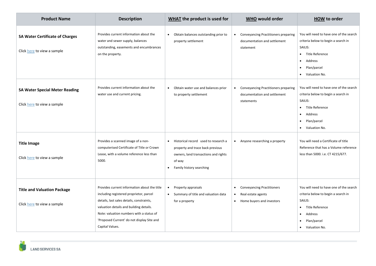| <b>Product Name</b>                                                   | <b>Description</b>                                                                                                                                                                                                                                                                           | <b>WHAT</b> the product is used for                                                                                                                                              | <b>WHO would order</b>                                                                                                      | <b>HOW to order</b>                                                                                                                                                           |
|-----------------------------------------------------------------------|----------------------------------------------------------------------------------------------------------------------------------------------------------------------------------------------------------------------------------------------------------------------------------------------|----------------------------------------------------------------------------------------------------------------------------------------------------------------------------------|-----------------------------------------------------------------------------------------------------------------------------|-------------------------------------------------------------------------------------------------------------------------------------------------------------------------------|
| <b>SA Water Certificate of Charges</b><br>Click here to view a sample | Provides current information about the<br>water and sewer supply, balances<br>outstanding, easements and encumbrances<br>on the property.                                                                                                                                                    | Obtain balances outstanding prior to<br>$\bullet$<br>property settlement                                                                                                         | <b>Conveyancing Practitioners preparing</b><br>$\bullet$<br>documentation and settlement<br>statement                       | You will need to have one of the search<br>criteria below to begin a search in<br>SAILIS:<br>• Title Reference<br>Address<br>٠<br>Plan/parcel<br>$\bullet$<br>• Valuation No. |
| <b>SA Water Special Meter Reading</b><br>Click here to view a sample  | Provides current information about the<br>water use and current pricing.                                                                                                                                                                                                                     | Obtain water use and balances prior<br>$\bullet$<br>to property settlement                                                                                                       | <b>Conveyancing Practitioners preparing</b><br>$\bullet$<br>documentation and settlement<br>statements                      | You will need to have one of the search<br>criteria below to begin a search in<br>SAILIS:<br>• Title Reference<br>Address<br>$\bullet$<br>Plan/parcel<br>٠<br>• Valuation No. |
| <b>Title Image</b><br>Click here to view a sample                     | Provides a scanned image of a non-<br>computerised Certificate of Title or Crown<br>Lease, with a volume reference less than<br>5000.                                                                                                                                                        | Historical record used to research a<br>$\bullet$<br>property and trace back previous<br>owners, land transactions and rights<br>of way<br>Family history searching<br>$\bullet$ | Anyone researching a property<br>$\bullet$                                                                                  | You will need a Certificate of title<br>Reference that has a Volume reference<br>less than 5000. i.e. CT 4215/677.                                                            |
| <b>Title and Valuation Package</b><br>Click here to view a sample     | Provides current information about the title<br>including registered proprietor, parcel<br>details, last sales details, constraints,<br>valuation details and building details.<br>Note: valuation numbers with a status of<br>'Proposed Current' do not display Site and<br>Capital Values. | Property appraisals<br>$\bullet$<br>Summary of title and valuation data<br>for a property                                                                                        | <b>Conveyancing Practitioners</b><br>$\bullet$<br>Real estate agents<br>$\bullet$<br>Home buyers and investors<br>$\bullet$ | You will need to have one of the search<br>criteria below to begin a search in<br>SAILIS:<br>• Title Reference<br>Address<br>$\bullet$<br>Plan/parcel<br>• Valuation No.      |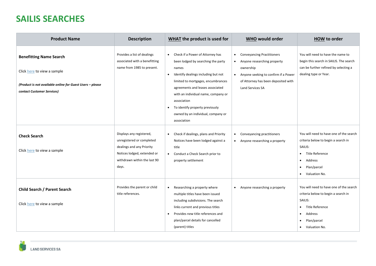## **SAILIS SEARCHES**

| <b>Product Name</b>                                                                                                                                      | <b>Description</b>                                                                                                                                         | <b>WHAT</b> the product is used for                                                                                                                                                                                                                                                                                                                                      | <b>WHO would order</b>                                                                                                                                                                                                         | <b>HOW to order</b>                                                                                                                                                               |
|----------------------------------------------------------------------------------------------------------------------------------------------------------|------------------------------------------------------------------------------------------------------------------------------------------------------------|--------------------------------------------------------------------------------------------------------------------------------------------------------------------------------------------------------------------------------------------------------------------------------------------------------------------------------------------------------------------------|--------------------------------------------------------------------------------------------------------------------------------------------------------------------------------------------------------------------------------|-----------------------------------------------------------------------------------------------------------------------------------------------------------------------------------|
| <b>Benefitting Name Search</b><br>Click here to view a sample<br>(Product is not available online for Guest Users - please<br>contact Customer Services) | Provides a list of dealings<br>associated with a benefitting<br>name from 1985 to present.                                                                 | Check if a Power of Attorney has<br>$\bullet$<br>been lodged by searching the party<br>names<br>Identify dealings including but not<br>limited to mortgages, encumbrances<br>agreements and leases associated<br>with an individual name, company or<br>association<br>To identify property previously<br>$\bullet$<br>owned by an individual, company or<br>association | <b>Conveyancing Practitioners</b><br>$\bullet$<br>Anyone researching property<br>$\bullet$<br>ownership<br>Anyone seeking to confirm if a Power<br>$\bullet$<br>of Attorney has been deposited with<br><b>Land Services SA</b> | You will need to have the name to<br>begin this search in SAILIS. The search<br>can be further refined by selecting a<br>dealing type or Year.                                    |
| <b>Check Search</b><br>Click here to view a sample                                                                                                       | Displays any registered,<br>unregistered or completed<br>dealings and any Priority<br>Notices lodged, extended or<br>withdrawn within the last 90<br>days. | Check if dealings, plans and Priority<br>$\bullet$<br>Notices have been lodged against a<br>title<br>Conduct a Check Search prior to<br>$\bullet$<br>property settlement                                                                                                                                                                                                 | Conveyancing practitioners<br>$\bullet$<br>Anyone researching a property<br>$\bullet$                                                                                                                                          | You will need to have one of the search<br>criteria below to begin a search in<br>SAILIS:<br>Title Reference<br>Address<br>Plan/parcel<br>$\bullet$<br>• Valuation No.            |
| Child Search / Parent Search<br>Click here to view a sample                                                                                              | Provides the parent or child<br>title references.                                                                                                          | Researching a property where<br>$\bullet$<br>multiple titles have been issued<br>including subdivisions. The search<br>links current and previous titles<br>Provides new title references and<br>plan/parcel details for cancelled<br>(parent) titles                                                                                                                    | Anyone researching a property<br>$\bullet$                                                                                                                                                                                     | You will need to have one of the search<br>criteria below to begin a search in<br>SAILIS:<br>Title Reference<br>$\bullet$<br>Address<br>$\bullet$<br>Plan/parcel<br>Valuation No. |

ar.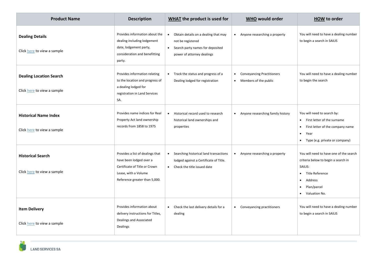| <b>Product Name</b>                                           | <b>Description</b>                                                                                                                                    | <b>WHAT</b> the product is used for                                                                                                                   | <b>WHO would order</b>                                                               | <b>HOW to order</b>                                                                                                                                                                 |
|---------------------------------------------------------------|-------------------------------------------------------------------------------------------------------------------------------------------------------|-------------------------------------------------------------------------------------------------------------------------------------------------------|--------------------------------------------------------------------------------------|-------------------------------------------------------------------------------------------------------------------------------------------------------------------------------------|
| <b>Dealing Details</b><br>Click here to view a sample         | Provides information about the<br>dealing including lodgement<br>date, lodgement party,<br>consideration and benefitting<br>party.                    | Obtain details on a dealing that may<br>$\bullet$<br>not be registered<br>Search party names for deposited<br>$\bullet$<br>power of attorney dealings | Anyone researching a property<br>$\bullet$                                           | You will need to have a dealing number<br>to begin a search in SAILIS                                                                                                               |
| <b>Dealing Location Search</b><br>Click here to view a sample | Provides information relating<br>to the location and progress of<br>a dealing lodged for<br>registration in Land Services<br>SA.                      | Track the status and progress of a<br>$\bullet$<br>Dealing lodged for registration                                                                    | <b>Conveyancing Practitioners</b><br>$\bullet$<br>Members of the public<br>$\bullet$ | You will need to have a dealing number<br>to begin the search                                                                                                                       |
| <b>Historical Name Index</b><br>Click here to view a sample   | Provides name indices for Real<br>Property Act land ownership<br>records from 1858 to 1975                                                            | Historical record used to research<br>$\bullet$<br>historical land ownerships and<br>properties                                                       | Anyone researching family history<br>$\bullet$                                       | You will need to search by:<br>First letter of the surname<br>$\bullet$<br>First letter of the company name<br>$\bullet$<br>Year<br>$\bullet$<br>• Type (e.g. private or company)   |
| <b>Historical Search</b><br>Click here to view a sample       | Provides a list of dealings that<br>have been lodged over a<br>Certificate of Title or Crown<br>Lease, with a Volume<br>Reference greater than 5,000. | Searching historical land transactions<br>$\bullet$<br>lodged against a Certificate of Title.<br>Check the title issued date<br>$\bullet$             | Anyone researching a property<br>$\bullet$                                           | You will need to have one of the search<br>criteria below to begin a search in<br>SAILIS:<br>Title Reference<br>Address<br>$\bullet$<br>Plan/parcel<br>$\bullet$<br>• Valuation No. |
| <b>Item Delivery</b><br>Click here to view a sample           | Provides information about<br>delivery instructions for Titles,<br>Dealings and Associated<br>Dealings                                                | Check the last delivery details for a<br>$\bullet$<br>dealing                                                                                         | Conveyancing practitioners<br>$\bullet$                                              | You will need to have a dealing number<br>to begin a search in SAILIS                                                                                                               |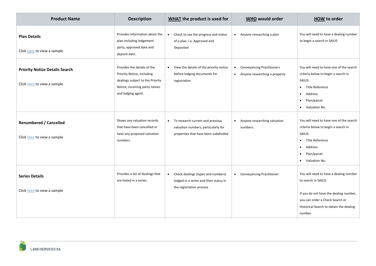| <b>Product Name</b>                                                  | <b>Description</b>                                                                                                                                  | <b>WHAT</b> the product is used for                                                                                          | <b>WHO would order</b>                                                                       | <b>HOW to order</b>                                                                                                                                                                               |
|----------------------------------------------------------------------|-----------------------------------------------------------------------------------------------------------------------------------------------------|------------------------------------------------------------------------------------------------------------------------------|----------------------------------------------------------------------------------------------|---------------------------------------------------------------------------------------------------------------------------------------------------------------------------------------------------|
| <b>Plan Details</b><br>Click here to view a sample                   | Provides information about the<br>plan including lodgement<br>party, approved date and<br>deposit date.                                             | Check to see the progress and status<br>$\bullet$<br>of a plan. i.e. Approved and<br>Deposited                               | Anyone researching a plan<br>$\bullet$                                                       | You will need to have a dealing number<br>to begin a search in SAILIS                                                                                                                             |
| <b>Priority Notice Details Search</b><br>Click here to view a sample | Provides the details of the<br>Priority Notice, including<br>dealings subject to the Priority<br>Notice, incoming party names<br>and lodging agent. | View the details of the priority notice<br>$\bullet$<br>before lodging documents for<br>registration                         | <b>Conveyancing Practitioners</b><br>$\bullet$<br>Anyone researching a property<br>$\bullet$ | You will need to have one of the search<br>criteria below to begin a search in<br>SAILIS:<br>• Title Reference<br>Address<br>$\bullet$<br>Plan/parcel<br>٠<br>• Valuation No.                     |
| <b>Renumbered / Cancelled</b><br>Click here to view a sample         | Shows any valuation records<br>that have been cancelled or<br>have any proposed valuation<br>numbers.                                               | To research current and previous<br>$\bullet$<br>valuation numbers, particularly for<br>properties that have been subdivided | Anyone researching valuation<br>$\bullet$<br>numbers.                                        | You will need to have one of the search<br>criteria below to begin a search in<br>SAILIS:<br>• Title Reference<br>Address<br>$\bullet$<br>Plan/parcel<br>$\bullet$<br>Valuation No.<br>$\bullet$  |
| <b>Series Details</b><br>Click here to view a sample                 | Provides a list of dealings that<br>are linked in a series.                                                                                         | Check dealings (types and numbers)<br>$\bullet$<br>lodged in a series and their status in<br>the registration process        | <b>Conveyancing Practitioner</b><br>$\bullet$                                                | You will need to have a dealing number<br>to search in SAILIS.<br>If you do not have the dealing number,<br>you can order a Check Search or<br>Historical Search to obtain the dealing<br>number. |